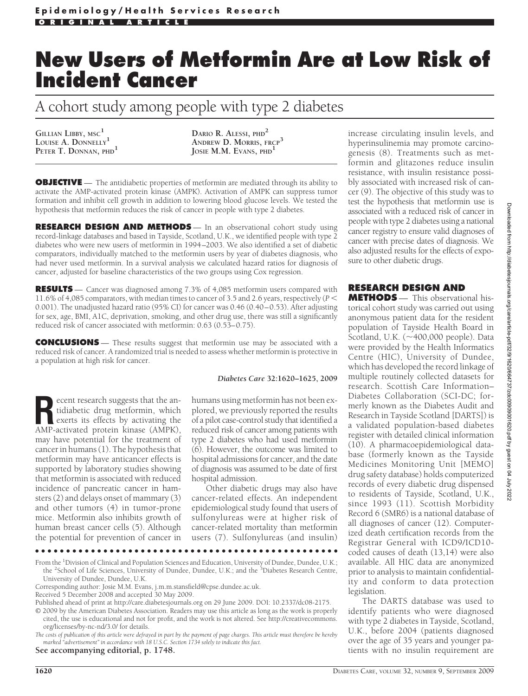# **New Users of Metformin Are at Low Risk of Incident Cancer**

A cohort study among people with type 2 diabetes

**GILLIAN LIBBY, MSC<sup>1</sup> LOUISE A. DONNELLY<sup>1</sup> PETER T. DONNAN, PHD<sup>1</sup>**

**DARIO R. ALESSI, PHD<sup>2</sup> ANDREW D. MORRIS, FRCP<sup>3</sup> JOSIE M.M. EVANS, PHD<sup>1</sup>**

**OBJECTIVE** — The antidiabetic properties of metformin are mediated through its ability to activate the AMP-activated protein kinase (AMPK). Activation of AMPK can suppress tumor formation and inhibit cell growth in addition to lowering blood glucose levels. We tested the hypothesis that metformin reduces the risk of cancer in people with type 2 diabetes.

**RESEARCH DESIGN AND METHODS** — In an observational cohort study using record-linkage databases and based in Tayside, Scotland, U.K., we identified people with type 2 diabetes who were new users of metformin in 1994–2003. We also identified a set of diabetic comparators, individually matched to the metformin users by year of diabetes diagnosis, who had never used metformin. In a survival analysis we calculated hazard ratios for diagnosis of cancer, adjusted for baseline characteristics of the two groups using Cox regression.

**RESULTS** — Cancer was diagnosed among 7.3% of 4,085 metformin users compared with 11.6% of 4,085 comparators, with median times to cancer of 3.5 and 2.6 years, respectively (*P* 0.001). The unadjusted hazard ratio (95% CI) for cancer was 0.46 (0.40–0.53). After adjusting for sex, age, BMI, A1C, deprivation, smoking, and other drug use, there was still a significantly reduced risk of cancer associated with metformin: 0.63 (0.53–0.75).

**CONCLUSIONS** — These results suggest that metformin use may be associated with a reduced risk of cancer. A randomized trial is needed to assess whether metformin is protective in a population at high risk for cancer.

#### *Diabetes Care* **32:1620–1625, 2009**

**Recent research suggests that the an-**<br>tidiabetic drug metformin, which<br>exerts its effects by activating the<br>AMP-activated protein kinase (AMPK) tidiabetic drug metformin, which exerts its effects by activating the AMP-activated protein kinase (AMPK), may have potential for the treatment of cancer in humans (1). The hypothesis that metformin may have anticancer effects is supported by laboratory studies showing that metformin is associated with reduced incidence of pancreatic cancer in hamsters (2) and delays onset of mammary (3) and other tumors (4) in tumor-prone mice. Metformin also inhibits growth of human breast cancer cells (5). Although the potential for prevention of cancer in

humans using metformin has not been explored, we previously reported the results of a pilot case-control study that identified a reduced risk of cancer among patients with type 2 diabetes who had used metformin (6). However, the outcome was limited to hospital admissions for cancer, and the date of diagnosis was assumed to be date of first hospital admission.

Other diabetic drugs may also have cancer-related effects. An independent epidemiological study found that users of sulfonylureas were at higher risk of cancer-related mortality than metformin users (7). Sulfonylureas (and insulin)

●●●●●●●●●●●●●●●●●●●●●●●●●●●●●●●●●●●●●●●●●●●●●●●●●

From the <sup>1</sup>Division of Clinical and Population Sciences and Education, University of Dundee, Dundee, U.K.; the <sup>2</sup>School of Life Sciences, University of Dundee, Dundee, U.K.; and the <sup>3</sup>Diabetes Research Centre, University of Dundee, Dundee, U.K.

Corresponding author: Josie M.M. Evans, j.m.m.stansfield@cpse.dundee.ac.uk.

Received 5 December 2008 and accepted 30 May 2009.

Published ahead of print at http://care.diabetesjournals.org on 29 June 2009. DOI: 10.2337/dc08-2175.

© 2009 by the American Diabetes Association. Readers may use this article as long as the work is properly cited, the use is educational and not for profit, and the work is not altered. See http://creativecommons. org/licenses/by-nc-nd/3.0/ for details.

*The costs of publication of this article were defrayed in part by the payment of page charges. This article must therefore be hereby marked "advertisement" in accordance with 18 U.S.C. Section 1734 solely to indicate this fact.*

**See accompanying editorial, p. 1748.**

increase circulating insulin levels, and hyperinsulinemia may promote carcinogenesis (8). Treatments such as metformin and glitazones reduce insulin resistance, with insulin resistance possibly associated with increased risk of cancer (9). The objective of this study was to test the hypothesis that metformin use is associated with a reduced risk of cancer in people with type 2 diabetes using a national cancer registry to ensure valid diagnoses of cancer with precise dates of diagnosis. We also adjusted results for the effects of exposure to other diabetic drugs.

#### **RESEARCH DESIGN AND**

**METHODS** — This observational historical cohort study was carried out using anonymous patient data for the resident population of Tayside Health Board in Scotland, U.K. (~400,000 people). Data were provided by the Health Informatics Centre (HIC), University of Dundee, which has developed the record linkage of multiple routinely collected datasets for research. Scottish Care Information– Diabetes Collaboration (SCI-DC; formerly known as the Diabetes Audit and Research in Tayside Scotland [DARTS]) is a validated population-based diabetes register with detailed clinical information (10). A pharmacoepidemiological database (formerly known as the Tayside Medicines Monitoring Unit [MEMO] drug safety database) holds computerized records of every diabetic drug dispensed to residents of Tayside, Scotland, U.K., since 1993 (11). Scottish Morbidity Record 6 (SMR6) is a national database of all diagnoses of cancer (12). Computerized death certification records from the Registrar General with ICD9/ICD10 coded causes of death (13,14) were also available. All HIC data are anonymized prior to analysis to maintain confidentiality and conform to data protection legislation.

The DARTS database was used to identify patients who were diagnosed with type 2 diabetes in Tayside, Scotland, U.K., before 2004 (patients diagnosed over the age of 35 years and younger patients with no insulin requirement are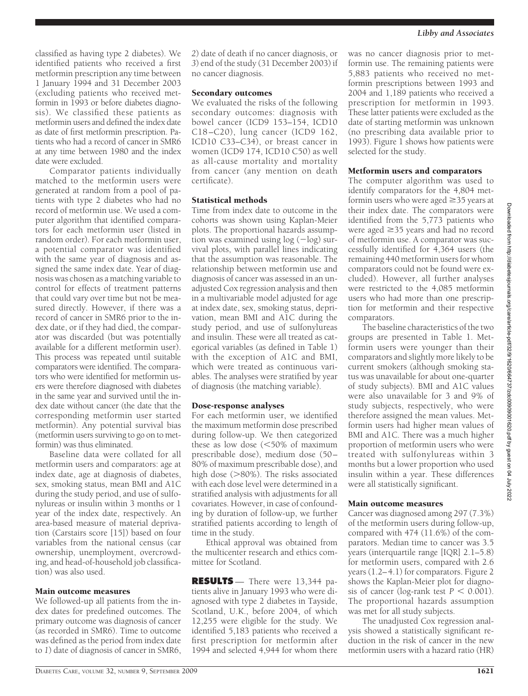classified as having type 2 diabetes). We identified patients who received a first metformin prescription any time between 1 January 1994 and 31 December 2003 (excluding patients who received metformin in 1993 or before diabetes diagnosis). We classified these patients as metformin users and defined the index date as date of first metformin prescription. Patients who had a record of cancer in SMR6 at any time between 1980 and the index date were excluded.

Comparator patients individually matched to the metformin users were generated at random from a pool of patients with type 2 diabetes who had no record of metformin use. We used a computer algorithm that identified comparators for each metformin user (listed in random order). For each metformin user, a potential comparator was identified with the same year of diagnosis and assigned the same index date. Year of diagnosis was chosen as a matching variable to control for effects of treatment patterns that could vary over time but not be measured directly. However, if there was a record of cancer in SMR6 prior to the index date, or if they had died, the comparator was discarded (but was potentially available for a different metformin user). This process was repeated until suitable comparators were identified. The comparators who were identified for metformin users were therefore diagnosed with diabetes in the same year and survived until the index date without cancer (the date that the corresponding metformin user started metformin). Any potential survival bias (metformin users surviving to go on to metformin) was thus eliminated.

Baseline data were collated for all metformin users and comparators: age at index date, age at diagnosis of diabetes, sex, smoking status, mean BMI and A1C during the study period, and use of sulfonylureas or insulin within 3 months or 1 year of the index date, respectively. An area-based measure of material deprivation (Carstairs score [15]) based on four variables from the national census (car ownership, unemployment, overcrowding, and head-of-household job classification) was also used.

#### Main outcome measures

We followed-up all patients from the index dates for predefined outcomes. The primary outcome was diagnosis of cancer (as recorded in SMR6). Time to outcome was defined as the period from index date to *1*) date of diagnosis of cancer in SMR6,

*2*) date of death if no cancer diagnosis, or *3*) end of the study (31 December 2003) if no cancer diagnosis.

### Secondary outcomes

We evaluated the risks of the following secondary outcomes: diagnosis with bowel cancer (ICD9 153–154, ICD10 C18–C20), lung cancer (ICD9 162, ICD10 C33–C34), or breast cancer in women (ICD9 174, ICD10 C50) as well as all-cause mortality and mortality from cancer (any mention on death certificate).

## Statistical methods

Time from index date to outcome in the cohorts was shown using Kaplan-Meier plots. The proportional hazards assumption was examined using  $log(-log)$  survival plots, with parallel lines indicating that the assumption was reasonable. The relationship between metformin use and diagnosis of cancer was assessed in an unadjusted Cox regression analysis and then in a multivariable model adjusted for age at index date, sex, smoking status, deprivation, mean BMI and A1C during the study period, and use of sulfonylureas and insulin. These were all treated as categorical variables (as defined in Table 1) with the exception of A1C and BMI, which were treated as continuous variables. The analyses were stratified by year of diagnosis (the matching variable).

## Dose-response analyses

For each metformin user, we identified the maximum metformin dose prescribed during follow-up. We then categorized these as low dose  $(<50\%$  of maximum prescribable dose), medium dose (50– 80% of maximum prescribable dose), and high dose  $(>80\%)$ . The risks associated with each dose level were determined in a stratified analysis with adjustments for all covariates. However, in case of confounding by duration of follow-up, we further stratified patients according to length of time in the study.

Ethical approval was obtained from the multicenter research and ethics committee for Scotland.

**RESULTS** — There were 13,344 patients alive in January 1993 who were diagnosed with type 2 diabetes in Tayside, Scotland, U.K., before 2004, of which 12,255 were eligible for the study. We identified 5,183 patients who received a first prescription for metformin after 1994 and selected 4,944 for whom there

was no cancer diagnosis prior to metformin use. The remaining patients were 5,883 patients who received no metformin prescriptions between 1993 and 2004 and 1,189 patients who received a prescription for metformin in 1993. These latter patients were excluded as the date of starting metformin was unknown (no prescribing data available prior to 1993). Figure 1 shows how patients were selected for the study.

## Metformin users and comparators

The computer algorithm was used to identify comparators for the 4,804 metformin users who were aged  $\geq$  35 years at their index date. The comparators were identified from the 5,773 patients who were aged  $\geq$ 35 years and had no record of metformin use. A comparator was successfully identified for 4,364 users (the remaining 440 metformin users for whom comparators could not be found were excluded). However, all further analyses were restricted to the 4,085 metformin users who had more than one prescription for metformin and their respective comparators.

The baseline characteristics of the two groups are presented in Table 1. Metformin users were younger than their comparators and slightly more likely to be current smokers (although smoking status was unavailable for about one-quarter of study subjects). BMI and A1C values were also unavailable for 3 and 9% of study subjects, respectively, who were therefore assigned the mean values. Metformin users had higher mean values of BMI and A1C. There was a much higher proportion of metformin users who were treated with sulfonylureas within 3 months but a lower proportion who used insulin within a year. These differences were all statistically significant.

## Main outcome measures

Cancer was diagnosed among 297 (7.3%) of the metformin users during follow-up, compared with 474 (11.6%) of the comparators. Median time to cancer was 3.5 years (interquartile range [IQR] 2.1–5.8) for metformin users, compared with 2.6 years (1.2–4.1) for comparators. Figure 2 shows the Kaplan-Meier plot for diagnosis of cancer (log-rank test  $P < 0.001$ ). The proportional hazards assumption was met for all study subjects.

The unadjusted Cox regression analysis showed a statistically significant reduction in the risk of cancer in the new metformin users with a hazard ratio (HR)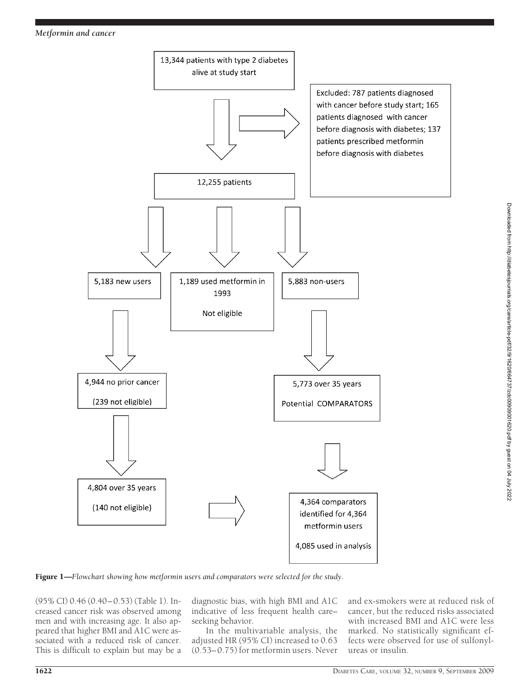



Figure 1—*Flowchart showing how metformin users and comparators were selected for the study.*

(95% CI) 0.46 (0.40–0.53) (Table 1). Increased cancer risk was observed among men and with increasing age. It also appeared that higher BMI and A1C were associated with a reduced risk of cancer. This is difficult to explain but may be a

diagnostic bias, with high BMI and A1C indicative of less frequent health care– seeking behavior.

In the multivariable analysis, the adjusted HR (95% CI) increased to 0.63 (0.53–0.75) for metformin users. Never

and ex-smokers were at reduced risk of cancer, but the reduced risks associated with increased BMI and A1C were less marked. No statistically significant effects were observed for use of sulfonylureas or insulin.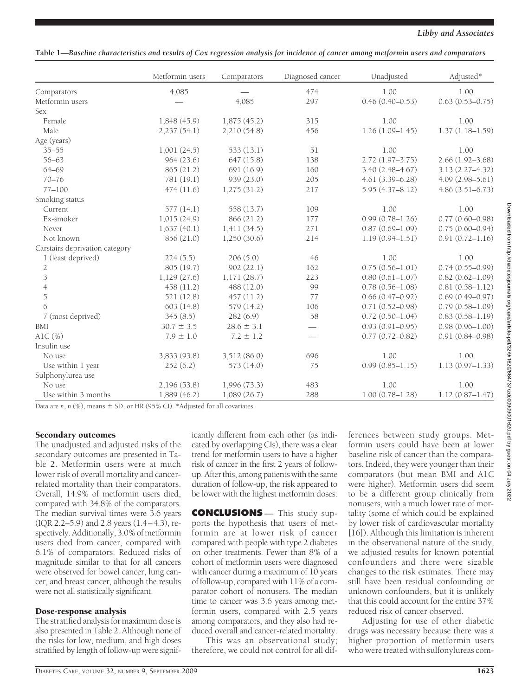**Table 1—***Baseline characteristics and results of Cox regression analysis for incidence of cancer among metformin users and comparators*

|                                | Metformin users | Comparators    | Diagnosed cancer | Unadjusted          | Adjusted*           |
|--------------------------------|-----------------|----------------|------------------|---------------------|---------------------|
| Comparators                    | 4,085           |                | 474              | 1.00                | 1.00                |
| Metformin users                |                 | 4,085          | 297              | $0.46(0.40 - 0.53)$ | $0.63(0.53 - 0.75)$ |
| <b>Sex</b>                     |                 |                |                  |                     |                     |
| Female                         | 1,848 (45.9)    | 1,875(45.2)    | 315              | 1.00                | 1.00                |
| Male                           | 2,237(54.1)     | 2,210 (54.8)   | 456              | $1.26(1.09 - 1.45)$ | $1.37(1.18 - 1.59)$ |
| Age (years)                    |                 |                |                  |                     |                     |
| $35 - 55$                      | 1,001(24.5)     | 533(13.1)      | 51               | 1.00                | 1.00                |
| $56 - 63$                      | 964(23.6)       | 647 (15.8)     | 138              | $2.72(1.97 - 3.75)$ | $2.66(1.92 - 3.68)$ |
| 64-69                          | 865 (21.2)      | 691 (16.9)     | 160              | $3.40(2.48 - 4.67)$ | $3.13(2.27 - 4.32)$ |
| $70 - 76$                      | 781 (19.1)      | 939 (23.0)     | 205              | $4.61(3.39 - 6.28)$ | $4.09(2.98 - 5.61)$ |
| $77 - 100$                     | 474(11.6)       | 1,275(31.2)    | 217              | $5.95(4.37 - 8.12)$ | $4.86(3.51 - 6.73)$ |
| Smoking status                 |                 |                |                  |                     |                     |
| Current                        | 577(14.1)       | 558 (13.7)     | 109              | 1.00                | 1.00                |
| Ex-smoker                      | 1,015(24.9)     | 866 (21.2)     | 177              | $0.99(0.78 - 1.26)$ | $0.77(0.60 - 0.98)$ |
| Never                          | 1,637(40.1)     | 1,411(34.5)    | 271              | $0.87(0.69 - 1.09)$ | $0.75(0.60 - 0.94)$ |
| Not known                      | 856 (21.0)      | 1,250(30.6)    | 214              | $1.19(0.94 - 1.51)$ | $0.91(0.72 - 1.16)$ |
| Carstairs deprivation category |                 |                |                  |                     |                     |
| 1 (least deprived)             | 224(5.5)        | 206(5.0)       | 46               | 1.00                | 1.00                |
| $\overline{2}$                 | 805 (19.7)      | 902(22.1)      | 162              | $0.75(0.56 - 1.01)$ | $0.74(0.55 - 0.99)$ |
| $\mathfrak{Z}$                 | 1,129(27.6)     | 1,171(28.7)    | 223              | $0.80(0.61 - 1.07)$ | $0.82(0.62 - 1.09)$ |
| $\overline{4}$                 | 458 (11.2)      | 488 (12.0)     | 99               | $0.78(0.56 - 1.08)$ | $0.81(0.58 - 1.12)$ |
| $\overline{5}$                 | 521 (12.8)      | 457 (11.2)     | 77               | $0.66(0.47-0.92)$   | $0.69(0.49 - 0.97)$ |
| 6                              | 603(14.8)       | 579 (14.2)     | 106              | $0.71(0.52 - 0.98)$ | $0.79(0.58 - 1.09)$ |
| 7 (most deprived)              | 345(8.5)        | 282 (6.9)      | 58               | $0.72(0.50 - 1.04)$ | $0.83(0.58 - 1.19)$ |
| BMI                            | $30.7 \pm 3.5$  | $28.6 \pm 3.1$ |                  | $0.93(0.91 - 0.95)$ | $0.98(0.96 - 1.00)$ |
| AlC $(\%)$                     | $7.9 \pm 1.0$   | $7.2 \pm 1.2$  |                  | $0.77(0.72 - 0.82)$ | $0.91(0.84 - 0.98)$ |
| Insulin use                    |                 |                |                  |                     |                     |
| No use                         | 3,833 (93.8)    | 3,512 (86.0)   | 696              | 1.00                | 1.00                |
| Use within 1 year              | 252(6.2)        | 573 (14.0)     | 75               | $0.99(0.85 - 1.15)$ | $1.13(0.97 - 1.33)$ |
| Sulphonylurea use              |                 |                |                  |                     |                     |
| No use                         | 2,196 (53.8)    | 1,996(73.3)    | 483              | 1.00                | 1.00                |
| Use within 3 months            | 1,889(46.2)     | 1,089(26.7)    | 288              | $1.00(0.78 - 1.28)$ | $1.12(0.87 - 1.47)$ |

Data are  $n$ ,  $n$  (%), means  $\pm$  SD, or HR (95% CI). \*Adjusted for all covariates.

# Secondary outcomes

The unadjusted and adjusted risks of the secondary outcomes are presented in Table 2. Metformin users were at much lower risk of overall mortality and cancerrelated mortality than their comparators. Overall, 14.9% of metformin users died, compared with 34.8% of the comparators. The median survival times were 3.6 years (IQR 2.2–5.9) and 2.8 years (1.4–4.3), respectively. Additionally, 3.0% of metformin users died from cancer, compared with 6.1% of comparators. Reduced risks of magnitude similar to that for all cancers were observed for bowel cancer, lung cancer, and breast cancer, although the results were not all statistically significant.

# Dose-response analysis

The stratified analysis for maximum dose is also presented in Table 2. Although none of the risks for low, medium, and high doses stratified by length of follow-up were signif-

icantly different from each other (as indicated by overlapping CIs), there was a clear trend for metformin users to have a higher risk of cancer in the first 2 years of followup. After this, among patients with the same duration of follow-up, the risk appeared to be lower with the highest metformin doses.

**CONCLUSIONS** — This study supports the hypothesis that users of metformin are at lower risk of cancer compared with people with type 2 diabetes on other treatments. Fewer than 8% of a cohort of metformin users were diagnosed with cancer during a maximum of  $10$  years of follow-up, compared with 11% of a comparator cohort of nonusers. The median time to cancer was 3.6 years among metformin users, compared with 2.5 years among comparators, and they also had reduced overall and cancer-related mortality.

This was an observational study; therefore, we could not control for all dif-

ferences between study groups. Metformin users could have been at lower baseline risk of cancer than the comparators. Indeed, they were younger than their comparators (but mean BMI and A1C were higher). Metformin users did seem to be a different group clinically from nonusers, with a much lower rate of mortality (some of which could be explained by lower risk of cardiovascular mortality [16]). Although this limitation is inherent in the observational nature of the study, we adjusted results for known potential confounders and there were sizable changes to the risk estimates. There may still have been residual confounding or unknown confounders, but it is unlikely that this could account for the entire 37% reduced risk of cancer observed.

Adjusting for use of other diabetic drugs was necessary because there was a higher proportion of metformin users who were treated with sulfonylureas com-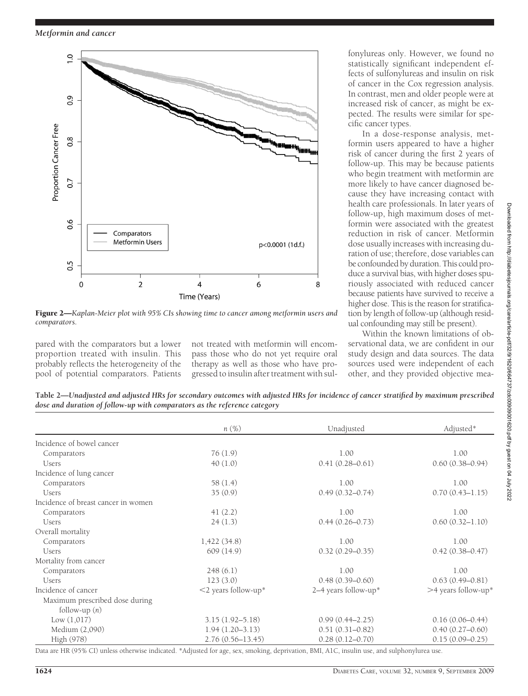

Figure 2—*Kaplan-Meier plot with 95% CIs showing time to cancer among metformin users and comparators.*

pared with the comparators but a lower proportion treated with insulin. This probably reflects the heterogeneity of the pool of potential comparators. Patients not treated with metformin will encompass those who do not yet require oral therapy as well as those who have progressed to insulin after treatment with sul-

fonylureas only. However, we found no statistically significant independent effects of sulfonylureas and insulin on risk of cancer in the Cox regression analysis. In contrast, men and older people were at increased risk of cancer, as might be expected. The results were similar for specific cancer types.

In a dose-response analysis, metformin users appeared to have a higher risk of cancer during the first 2 years of follow-up. This may be because patients who begin treatment with metformin are more likely to have cancer diagnosed because they have increasing contact with health care professionals. In later years of follow-up, high maximum doses of metformin were associated with the greatest reduction in risk of cancer. Metformin dose usually increases with increasing duration of use; therefore, dose variables can be confounded by duration. This could produce a survival bias, with higher doses spuriously associated with reduced cancer because patients have survived to receive a higher dose. This is the reason for stratification by length of follow-up (although residual confounding may still be present).

Within the known limitations of observational data, we are confident in our study design and data sources. The data sources used were independent of each other, and they provided objective mea-

**Table 2—***Unadjusted and adjusted HRs for secondary outcomes with adjusted HRs for incidence of cancer stratified by maximum prescribed dose and duration of follow-up with comparators as the reference category*

|                                     | $n(\%)$                | Unadjusted           | Adjusted*           |
|-------------------------------------|------------------------|----------------------|---------------------|
| Incidence of bowel cancer           |                        |                      |                     |
| Comparators                         | 76(1.9)                | 1.00                 | 1.00                |
| <b>Users</b>                        | 40(1.0)                | $0.41(0.28 - 0.61)$  | $0.60(0.38 - 0.94)$ |
| Incidence of lung cancer            |                        |                      |                     |
| Comparators                         | 58 (1.4)               | 1.00                 | 1.00                |
| <b>Users</b>                        | 35(0.9)                | $0.49(0.32 - 0.74)$  | $0.70(0.43 - 1.15)$ |
| Incidence of breast cancer in women |                        |                      |                     |
| Comparators                         | 41(2.2)                | 1.00                 | 1.00                |
| <b>Users</b>                        | 24(1.3)                | $0.44(0.26 - 0.73)$  | $0.60(0.32 - 1.10)$ |
| Overall mortality                   |                        |                      |                     |
| Comparators                         | 1,422(34.8)            | 1.00                 | 1.00                |
| <b>Users</b>                        | 609(14.9)              | $0.32(0.29 - 0.35)$  | $0.42(0.38 - 0.47)$ |
| Mortality from cancer               |                        |                      |                     |
| Comparators                         | 248(6.1)               | 1.00                 | 1.00                |
| <b>Users</b>                        | 123(3.0)               | $0.48(0.39 - 0.60)$  | $0.63(0.49 - 0.81)$ |
| Incidence of cancer                 | $<$ 2 years follow-up* | 2–4 years follow-up* | >4 years follow-up* |
| Maximum prescribed dose during      |                        |                      |                     |
| follow-up $(n)$                     |                        |                      |                     |
| Low (1,017)                         | $3.15(1.92 - 5.18)$    | $0.99(0.44 - 2.25)$  | $0.16(0.06 - 0.44)$ |
| Medium (2,090)                      | $1.94(1.20 - 3.13)$    | $0.51(0.31 - 0.82)$  | $0.40(0.27-0.60)$   |
| High (978)                          | $2.76(0.56 - 13.45)$   | $0.28(0.12 - 0.70)$  | $0.15(0.09 - 0.25)$ |

Data are HR (95% CI) unless otherwise indicated. \*Adjusted for age, sex, smoking, deprivation, BMI, A1C, insulin use, and sulphonylurea use.